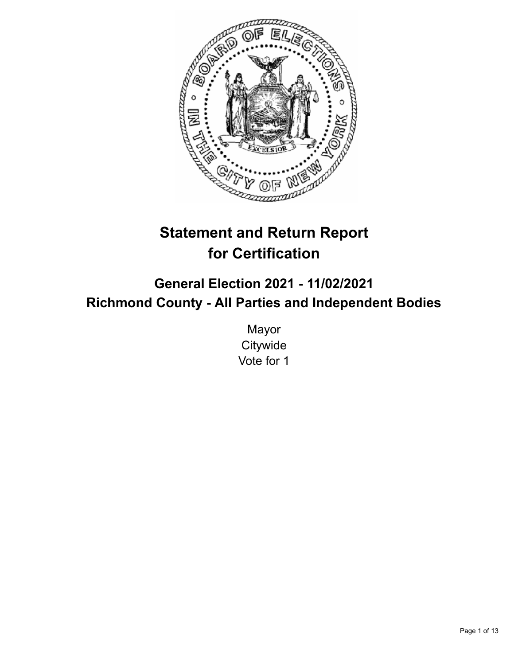

# **Statement and Return Report for Certification**

**General Election 2021 - 11/02/2021 Richmond County - All Parties and Independent Bodies**

> Mayor **Citywide** Vote for 1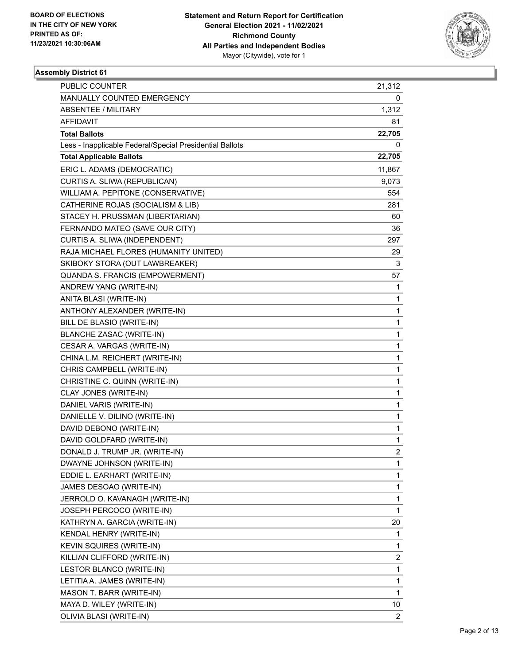

| <b>PUBLIC COUNTER</b>                                    | 21,312         |
|----------------------------------------------------------|----------------|
| MANUALLY COUNTED EMERGENCY                               | 0              |
| <b>ABSENTEE / MILITARY</b>                               | 1,312          |
| AFFIDAVIT                                                | 81             |
| <b>Total Ballots</b>                                     | 22,705         |
| Less - Inapplicable Federal/Special Presidential Ballots | 0              |
| <b>Total Applicable Ballots</b>                          | 22,705         |
| ERIC L. ADAMS (DEMOCRATIC)                               | 11,867         |
| CURTIS A. SLIWA (REPUBLICAN)                             | 9,073          |
| WILLIAM A. PEPITONE (CONSERVATIVE)                       | 554            |
| CATHERINE ROJAS (SOCIALISM & LIB)                        | 281            |
| STACEY H. PRUSSMAN (LIBERTARIAN)                         | 60             |
| FERNANDO MATEO (SAVE OUR CITY)                           | 36             |
| CURTIS A. SLIWA (INDEPENDENT)                            | 297            |
| RAJA MICHAEL FLORES (HUMANITY UNITED)                    | 29             |
| SKIBOKY STORA (OUT LAWBREAKER)                           | 3              |
| QUANDA S. FRANCIS (EMPOWERMENT)                          | 57             |
| ANDREW YANG (WRITE-IN)                                   | 1              |
| ANITA BLASI (WRITE-IN)                                   | 1              |
| ANTHONY ALEXANDER (WRITE-IN)                             | 1              |
| BILL DE BLASIO (WRITE-IN)                                | 1              |
| BLANCHE ZASAC (WRITE-IN)                                 | 1              |
| CESAR A. VARGAS (WRITE-IN)                               | 1              |
| CHINA L.M. REICHERT (WRITE-IN)                           | 1              |
| CHRIS CAMPBELL (WRITE-IN)                                | 1              |
| CHRISTINE C. QUINN (WRITE-IN)                            | 1              |
| CLAY JONES (WRITE-IN)                                    | 1              |
| DANIEL VARIS (WRITE-IN)                                  | 1              |
| DANIELLE V. DILINO (WRITE-IN)                            | 1              |
| DAVID DEBONO (WRITE-IN)                                  | 1              |
| DAVID GOLDFARD (WRITE-IN)                                | 1              |
| DONALD J. TRUMP JR. (WRITE-IN)                           | $\overline{c}$ |
| DWAYNE JOHNSON (WRITE-IN)                                | 1              |
| EDDIE L. EARHART (WRITE-IN)                              | 1              |
| JAMES DESOAO (WRITE-IN)                                  | 1              |
| JERROLD O. KAVANAGH (WRITE-IN)                           | 1              |
| JOSEPH PERCOCO (WRITE-IN)                                | 1              |
| KATHRYN A. GARCIA (WRITE-IN)                             | 20             |
| KENDAL HENRY (WRITE-IN)                                  | 1              |
| KEVIN SQUIRES (WRITE-IN)                                 | 1              |
| KILLIAN CLIFFORD (WRITE-IN)                              | 2              |
| LESTOR BLANCO (WRITE-IN)                                 | $\mathbf{1}$   |
| LETITIA A. JAMES (WRITE-IN)                              | 1              |
| MASON T. BARR (WRITE-IN)                                 | 1              |
| MAYA D. WILEY (WRITE-IN)                                 | 10             |
| OLIVIA BLASI (WRITE-IN)                                  | $\overline{2}$ |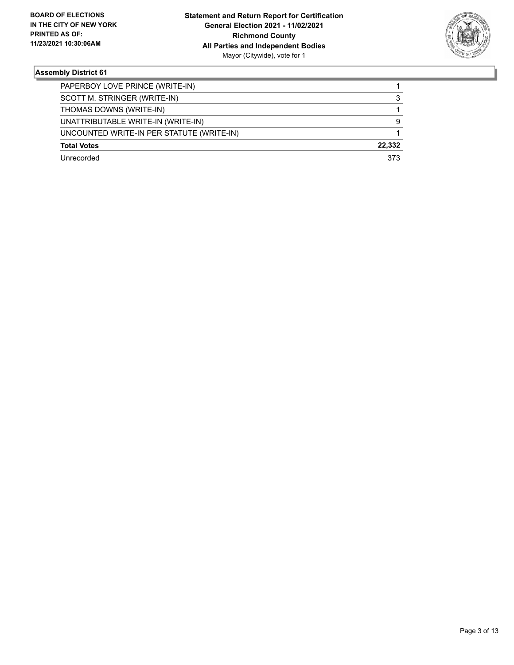

| PAPERBOY LOVE PRINCE (WRITE-IN)           |        |
|-------------------------------------------|--------|
| SCOTT M. STRINGER (WRITE-IN)              | 3      |
| THOMAS DOWNS (WRITE-IN)                   |        |
| UNATTRIBUTABLE WRITE-IN (WRITE-IN)        | 9      |
| UNCOUNTED WRITE-IN PER STATUTE (WRITE-IN) |        |
| <b>Total Votes</b>                        | 22.332 |
| Unrecorded                                | 373    |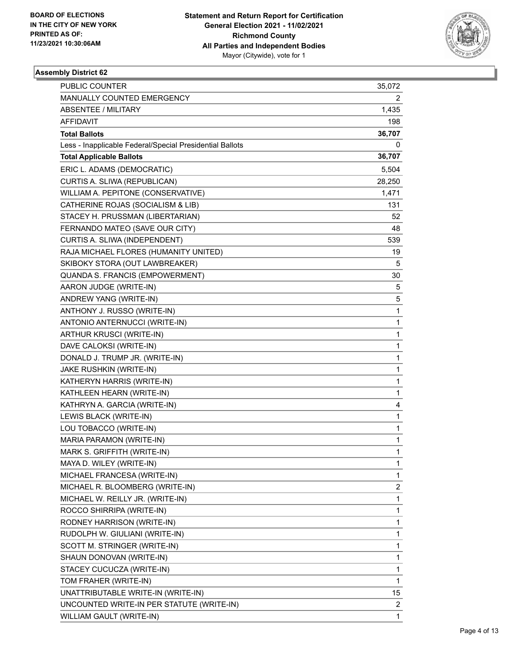

| PUBLIC COUNTER                                           | 35,072       |
|----------------------------------------------------------|--------------|
| MANUALLY COUNTED EMERGENCY                               | 2            |
| <b>ABSENTEE / MILITARY</b>                               | 1,435        |
| <b>AFFIDAVIT</b>                                         | 198          |
| <b>Total Ballots</b>                                     | 36,707       |
| Less - Inapplicable Federal/Special Presidential Ballots | 0            |
| <b>Total Applicable Ballots</b>                          | 36,707       |
| ERIC L. ADAMS (DEMOCRATIC)                               | 5,504        |
| CURTIS A. SLIWA (REPUBLICAN)                             | 28,250       |
| WILLIAM A. PEPITONE (CONSERVATIVE)                       | 1,471        |
| CATHERINE ROJAS (SOCIALISM & LIB)                        | 131          |
| STACEY H. PRUSSMAN (LIBERTARIAN)                         | 52           |
| FERNANDO MATEO (SAVE OUR CITY)                           | 48           |
| CURTIS A. SLIWA (INDEPENDENT)                            | 539          |
| RAJA MICHAEL FLORES (HUMANITY UNITED)                    | 19           |
| SKIBOKY STORA (OUT LAWBREAKER)                           | 5            |
| QUANDA S. FRANCIS (EMPOWERMENT)                          | 30           |
| AARON JUDGE (WRITE-IN)                                   | 5            |
| ANDREW YANG (WRITE-IN)                                   | 5            |
| ANTHONY J. RUSSO (WRITE-IN)                              | 1            |
| ANTONIO ANTERNUCCI (WRITE-IN)                            | $\mathbf{1}$ |
| ARTHUR KRUSCI (WRITE-IN)                                 | $\mathbf{1}$ |
| DAVE CALOKSI (WRITE-IN)                                  | 1            |
| DONALD J. TRUMP JR. (WRITE-IN)                           | $\mathbf{1}$ |
| JAKE RUSHKIN (WRITE-IN)                                  | $\mathbf{1}$ |
| KATHERYN HARRIS (WRITE-IN)                               | 1            |
| KATHLEEN HEARN (WRITE-IN)                                | $\mathbf{1}$ |
| KATHRYN A. GARCIA (WRITE-IN)                             | 4            |
| LEWIS BLACK (WRITE-IN)                                   | 1            |
| LOU TOBACCO (WRITE-IN)                                   | $\mathbf{1}$ |
| MARIA PARAMON (WRITE-IN)                                 | $\mathbf{1}$ |
| MARK S. GRIFFITH (WRITE-IN)                              | $\mathbf{1}$ |
| MAYA D. WILEY (WRITE-IN)                                 | $\mathbf{1}$ |
| MICHAEL FRANCESA (WRITE-IN)                              | 1            |
| MICHAEL R. BLOOMBERG (WRITE-IN)                          | 2            |
| MICHAEL W. REILLY JR. (WRITE-IN)                         | $\mathbf{1}$ |
| ROCCO SHIRRIPA (WRITE-IN)                                | 1            |
| RODNEY HARRISON (WRITE-IN)                               | 1            |
| RUDOLPH W. GIULIANI (WRITE-IN)                           | 1            |
| SCOTT M. STRINGER (WRITE-IN)                             | 1            |
| SHAUN DONOVAN (WRITE-IN)                                 | 1            |
| STACEY CUCUCZA (WRITE-IN)                                | $\mathbf{1}$ |
| TOM FRAHER (WRITE-IN)                                    | $\mathbf{1}$ |
| UNATTRIBUTABLE WRITE-IN (WRITE-IN)                       | 15           |
| UNCOUNTED WRITE-IN PER STATUTE (WRITE-IN)                | 2            |
| WILLIAM GAULT (WRITE-IN)                                 | $\mathbf{1}$ |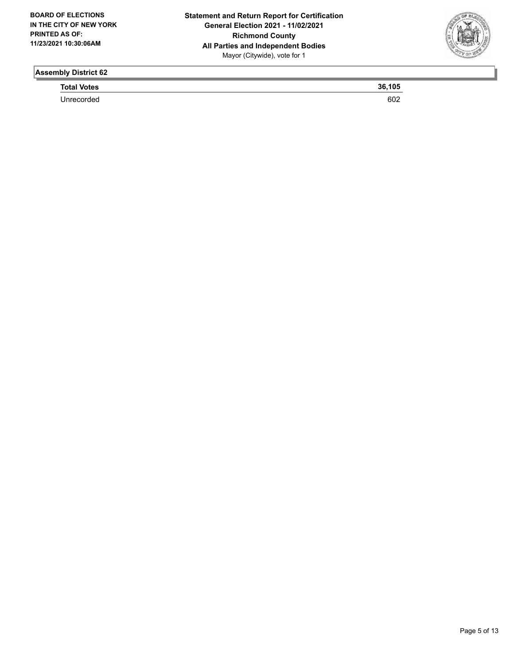

**Total Votes 36,105** 

Unrecorded 602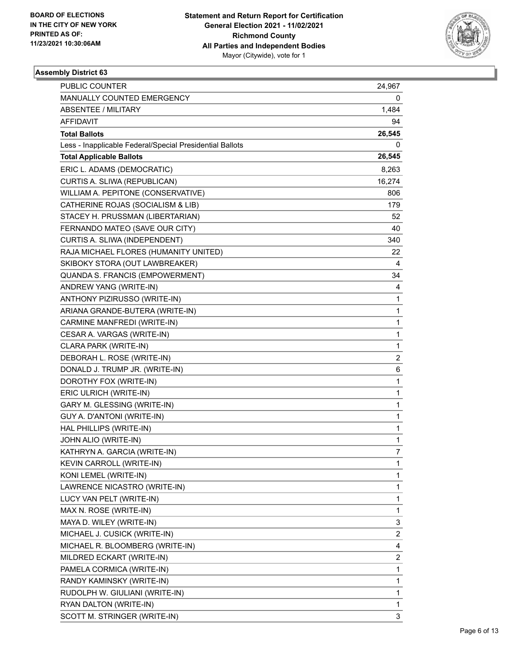

| PUBLIC COUNTER                                           | 24,967                  |
|----------------------------------------------------------|-------------------------|
| MANUALLY COUNTED EMERGENCY                               | 0                       |
| <b>ABSENTEE / MILITARY</b>                               | 1,484                   |
| AFFIDAVIT                                                | 94                      |
| <b>Total Ballots</b>                                     | 26,545                  |
| Less - Inapplicable Federal/Special Presidential Ballots | 0                       |
| <b>Total Applicable Ballots</b>                          | 26,545                  |
| ERIC L. ADAMS (DEMOCRATIC)                               | 8,263                   |
| CURTIS A. SLIWA (REPUBLICAN)                             | 16,274                  |
| WILLIAM A. PEPITONE (CONSERVATIVE)                       | 806                     |
| CATHERINE ROJAS (SOCIALISM & LIB)                        | 179                     |
| STACEY H. PRUSSMAN (LIBERTARIAN)                         | 52                      |
| FERNANDO MATEO (SAVE OUR CITY)                           | 40                      |
| CURTIS A. SLIWA (INDEPENDENT)                            | 340                     |
| RAJA MICHAEL FLORES (HUMANITY UNITED)                    | 22                      |
| SKIBOKY STORA (OUT LAWBREAKER)                           | 4                       |
| QUANDA S. FRANCIS (EMPOWERMENT)                          | 34                      |
| ANDREW YANG (WRITE-IN)                                   | 4                       |
| ANTHONY PIZIRUSSO (WRITE-IN)                             | 1                       |
| ARIANA GRANDE-BUTERA (WRITE-IN)                          | 1                       |
| CARMINE MANFREDI (WRITE-IN)                              | 1                       |
| CESAR A. VARGAS (WRITE-IN)                               | 1                       |
| CLARA PARK (WRITE-IN)                                    | 1                       |
| DEBORAH L. ROSE (WRITE-IN)                               | $\overline{2}$          |
| DONALD J. TRUMP JR. (WRITE-IN)                           | 6                       |
| DOROTHY FOX (WRITE-IN)                                   | 1                       |
| ERIC ULRICH (WRITE-IN)                                   | 1                       |
| GARY M. GLESSING (WRITE-IN)                              | 1                       |
| GUY A. D'ANTONI (WRITE-IN)                               | 1                       |
| HAL PHILLIPS (WRITE-IN)                                  | 1                       |
| JOHN ALIO (WRITE-IN)                                     | 1                       |
| KATHRYN A. GARCIA (WRITE-IN)                             | $\overline{7}$          |
| KEVIN CARROLL (WRITE-IN)                                 | 1                       |
| KONI LEMEL (WRITE-IN)                                    | 1                       |
| LAWRENCE NICASTRO (WRITE-IN)                             | 1                       |
| LUCY VAN PELT (WRITE-IN)                                 | 1                       |
| MAX N. ROSE (WRITE-IN)                                   | 1                       |
| MAYA D. WILEY (WRITE-IN)                                 | 3                       |
| MICHAEL J. CUSICK (WRITE-IN)                             | $\overline{a}$          |
| MICHAEL R. BLOOMBERG (WRITE-IN)                          | 4                       |
| MILDRED ECKART (WRITE-IN)                                | $\overline{\mathbf{c}}$ |
| PAMELA CORMICA (WRITE-IN)                                | 1                       |
| RANDY KAMINSKY (WRITE-IN)                                | 1                       |
| RUDOLPH W. GIULIANI (WRITE-IN)                           | 1                       |
| RYAN DALTON (WRITE-IN)                                   | 1                       |
| SCOTT M. STRINGER (WRITE-IN)                             | 3                       |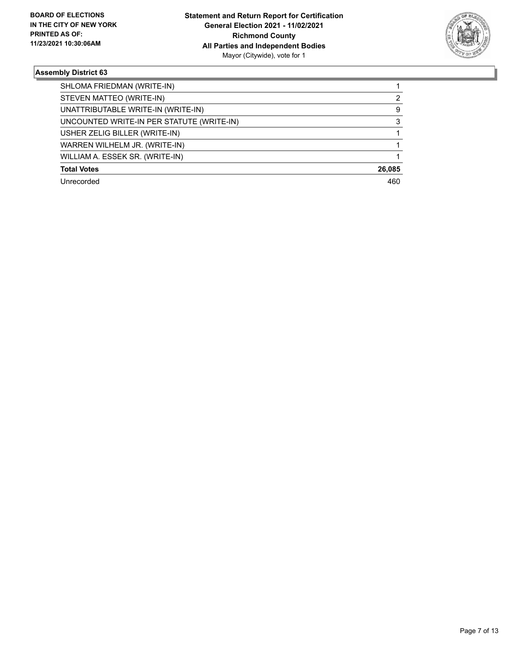

| SHLOMA FRIEDMAN (WRITE-IN)                |        |
|-------------------------------------------|--------|
| STEVEN MATTEO (WRITE-IN)                  | 2      |
| UNATTRIBUTABLE WRITE-IN (WRITE-IN)        | 9      |
| UNCOUNTED WRITE-IN PER STATUTE (WRITE-IN) | 3      |
| USHER ZELIG BILLER (WRITE-IN)             |        |
| WARREN WILHELM JR. (WRITE-IN)             |        |
| WILLIAM A. ESSEK SR. (WRITE-IN)           |        |
| <b>Total Votes</b>                        | 26,085 |
| Unrecorded                                | 460    |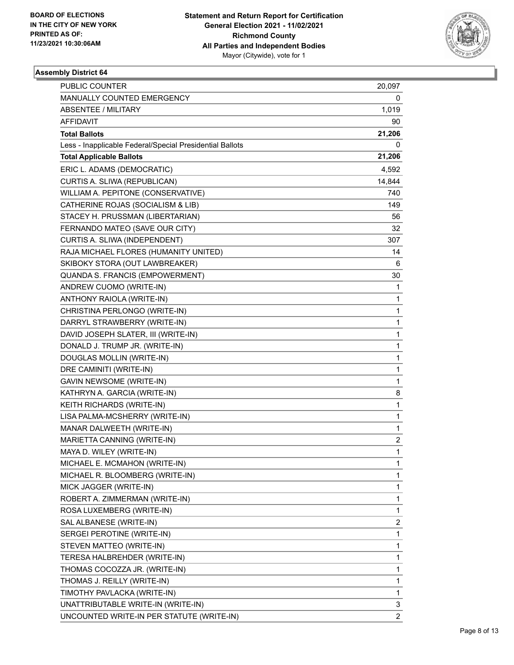

| PUBLIC COUNTER                                           | 20,097                  |
|----------------------------------------------------------|-------------------------|
| MANUALLY COUNTED EMERGENCY                               | 0                       |
| <b>ABSENTEE / MILITARY</b>                               | 1,019                   |
| AFFIDAVIT                                                | 90                      |
| <b>Total Ballots</b>                                     | 21,206                  |
| Less - Inapplicable Federal/Special Presidential Ballots | 0                       |
| <b>Total Applicable Ballots</b>                          | 21,206                  |
| ERIC L. ADAMS (DEMOCRATIC)                               | 4,592                   |
| CURTIS A. SLIWA (REPUBLICAN)                             | 14,844                  |
| WILLIAM A. PEPITONE (CONSERVATIVE)                       | 740                     |
| CATHERINE ROJAS (SOCIALISM & LIB)                        | 149                     |
| STACEY H. PRUSSMAN (LIBERTARIAN)                         | 56                      |
| FERNANDO MATEO (SAVE OUR CITY)                           | 32                      |
| CURTIS A. SLIWA (INDEPENDENT)                            | 307                     |
| RAJA MICHAEL FLORES (HUMANITY UNITED)                    | 14                      |
| SKIBOKY STORA (OUT LAWBREAKER)                           | 6                       |
| QUANDA S. FRANCIS (EMPOWERMENT)                          | 30                      |
| ANDREW CUOMO (WRITE-IN)                                  | 1                       |
| ANTHONY RAIOLA (WRITE-IN)                                | 1                       |
| CHRISTINA PERLONGO (WRITE-IN)                            | 1                       |
| DARRYL STRAWBERRY (WRITE-IN)                             | 1                       |
| DAVID JOSEPH SLATER, III (WRITE-IN)                      | 1                       |
| DONALD J. TRUMP JR. (WRITE-IN)                           | 1                       |
| DOUGLAS MOLLIN (WRITE-IN)                                | 1                       |
| DRE CAMINITI (WRITE-IN)                                  | 1                       |
| <b>GAVIN NEWSOME (WRITE-IN)</b>                          | 1                       |
| KATHRYN A. GARCIA (WRITE-IN)                             | 8                       |
| KEITH RICHARDS (WRITE-IN)                                | 1                       |
| LISA PALMA-MCSHERRY (WRITE-IN)                           | 1                       |
| MANAR DALWEETH (WRITE-IN)                                | 1                       |
| MARIETTA CANNING (WRITE-IN)                              | $\overline{\mathbf{c}}$ |
| MAYA D. WILEY (WRITE-IN)                                 | $\mathbf{1}$            |
| MICHAEL E. MCMAHON (WRITE-IN)                            | 1                       |
| MICHAEL R. BLOOMBERG (WRITE-IN)                          | 1                       |
| MICK JAGGER (WRITE-IN)                                   | 1                       |
| ROBERT A. ZIMMERMAN (WRITE-IN)                           | 1                       |
| ROSA LUXEMBERG (WRITE-IN)                                | 1                       |
| SAL ALBANESE (WRITE-IN)                                  | 2                       |
| SERGEI PEROTINE (WRITE-IN)                               | 1                       |
| STEVEN MATTEO (WRITE-IN)                                 | 1                       |
| TERESA HALBREHDER (WRITE-IN)                             | 1                       |
| THOMAS COCOZZA JR. (WRITE-IN)                            | 1                       |
| THOMAS J. REILLY (WRITE-IN)                              | 1                       |
| TIMOTHY PAVLACKA (WRITE-IN)                              | 1                       |
| UNATTRIBUTABLE WRITE-IN (WRITE-IN)                       | 3                       |
| UNCOUNTED WRITE-IN PER STATUTE (WRITE-IN)                | $\overline{2}$          |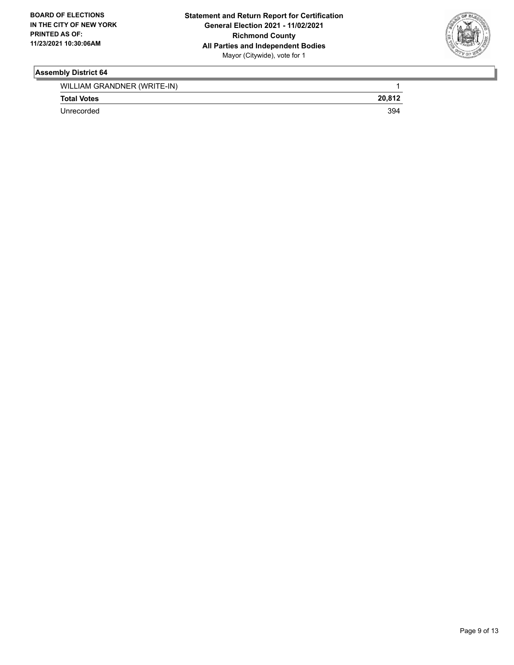

| WILLIAM GRANDNER (WRITE-IN) |        |
|-----------------------------|--------|
| <b>Total Votes</b>          | 20.812 |
| Unrecorded                  | 394    |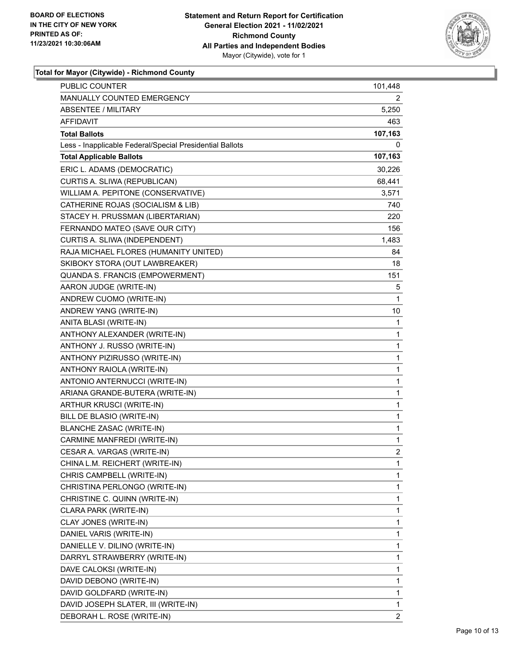

## **Total for Mayor (Citywide) - Richmond County**

| PUBLIC COUNTER                                           | 101,448        |
|----------------------------------------------------------|----------------|
| MANUALLY COUNTED EMERGENCY                               | 2.             |
| <b>ABSENTEE / MILITARY</b>                               | 5,250          |
| AFFIDAVIT                                                | 463            |
| <b>Total Ballots</b>                                     | 107,163        |
| Less - Inapplicable Federal/Special Presidential Ballots | 0              |
| <b>Total Applicable Ballots</b>                          | 107,163        |
| ERIC L. ADAMS (DEMOCRATIC)                               | 30,226         |
| CURTIS A. SLIWA (REPUBLICAN)                             | 68,441         |
| WILLIAM A. PEPITONE (CONSERVATIVE)                       | 3,571          |
| CATHERINE ROJAS (SOCIALISM & LIB)                        | 740            |
| STACEY H. PRUSSMAN (LIBERTARIAN)                         | 220            |
| FERNANDO MATEO (SAVE OUR CITY)                           | 156            |
| CURTIS A. SLIWA (INDEPENDENT)                            | 1,483          |
| RAJA MICHAEL FLORES (HUMANITY UNITED)                    | 84             |
| SKIBOKY STORA (OUT LAWBREAKER)                           | 18             |
| QUANDA S. FRANCIS (EMPOWERMENT)                          | 151            |
| AARON JUDGE (WRITE-IN)                                   | 5              |
| ANDREW CUOMO (WRITE-IN)                                  | 1              |
| ANDREW YANG (WRITE-IN)                                   | 10             |
| ANITA BLASI (WRITE-IN)                                   | 1              |
| ANTHONY ALEXANDER (WRITE-IN)                             | $\mathbf{1}$   |
| ANTHONY J. RUSSO (WRITE-IN)                              | 1              |
| ANTHONY PIZIRUSSO (WRITE-IN)                             | 1              |
| ANTHONY RAIOLA (WRITE-IN)                                | $\mathbf{1}$   |
| ANTONIO ANTERNUCCI (WRITE-IN)                            | 1              |
| ARIANA GRANDE-BUTERA (WRITE-IN)                          | $\mathbf{1}$   |
| ARTHUR KRUSCI (WRITE-IN)                                 | $\mathbf{1}$   |
| BILL DE BLASIO (WRITE-IN)                                | 1              |
| <b>BLANCHE ZASAC (WRITE-IN)</b>                          | 1              |
| CARMINE MANFREDI (WRITE-IN)                              | 1              |
| CESAR A. VARGAS (WRITE-IN)                               | $\overline{2}$ |
| CHINA L.M. REICHERT (WRITE-IN)                           | 1              |
| CHRIS CAMPBELL (WRITE-IN)                                | 1              |
| CHRISTINA PERLONGO (WRITE-IN)                            | 1              |
| CHRISTINE C. QUINN (WRITE-IN)                            | 1              |
| CLARA PARK (WRITE-IN)                                    | 1              |
| CLAY JONES (WRITE-IN)                                    | 1              |
| DANIEL VARIS (WRITE-IN)                                  | 1              |
| DANIELLE V. DILINO (WRITE-IN)                            | 1              |
| DARRYL STRAWBERRY (WRITE-IN)                             | 1              |
| DAVE CALOKSI (WRITE-IN)                                  | 1              |
| DAVID DEBONO (WRITE-IN)                                  | 1              |
| DAVID GOLDFARD (WRITE-IN)                                | 1              |
| DAVID JOSEPH SLATER, III (WRITE-IN)                      | 1              |
| DEBORAH L. ROSE (WRITE-IN)                               | 2              |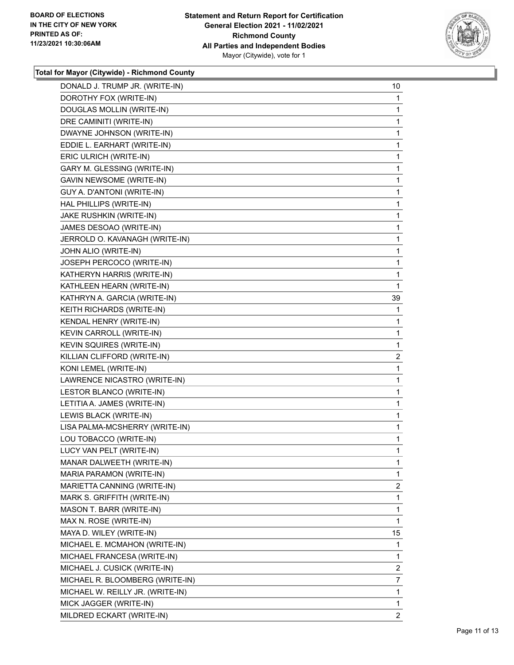

## **Total for Mayor (Citywide) - Richmond County**

| DONALD J. TRUMP JR. (WRITE-IN)   | 10             |
|----------------------------------|----------------|
| DOROTHY FOX (WRITE-IN)           | 1              |
| DOUGLAS MOLLIN (WRITE-IN)        | 1              |
| DRE CAMINITI (WRITE-IN)          | 1              |
| DWAYNE JOHNSON (WRITE-IN)        | 1              |
| EDDIE L. EARHART (WRITE-IN)      | 1              |
| ERIC ULRICH (WRITE-IN)           | 1              |
| GARY M. GLESSING (WRITE-IN)      | 1              |
| GAVIN NEWSOME (WRITE-IN)         | 1              |
| GUY A. D'ANTONI (WRITE-IN)       | 1              |
| HAL PHILLIPS (WRITE-IN)          | 1              |
| JAKE RUSHKIN (WRITE-IN)          | 1              |
| JAMES DESOAO (WRITE-IN)          | 1              |
| JERROLD O. KAVANAGH (WRITE-IN)   | 1              |
| JOHN ALIO (WRITE-IN)             | 1              |
| JOSEPH PERCOCO (WRITE-IN)        | 1              |
| KATHERYN HARRIS (WRITE-IN)       | 1              |
| KATHLEEN HEARN (WRITE-IN)        | 1              |
| KATHRYN A. GARCIA (WRITE-IN)     | 39             |
| KEITH RICHARDS (WRITE-IN)        | 1              |
| KENDAL HENRY (WRITE-IN)          | 1              |
| KEVIN CARROLL (WRITE-IN)         | 1              |
| KEVIN SQUIRES (WRITE-IN)         | 1              |
| KILLIAN CLIFFORD (WRITE-IN)      | 2              |
| KONI LEMEL (WRITE-IN)            | 1              |
| LAWRENCE NICASTRO (WRITE-IN)     | 1              |
| LESTOR BLANCO (WRITE-IN)         | 1              |
| LETITIA A. JAMES (WRITE-IN)      | 1              |
| LEWIS BLACK (WRITE-IN)           | 1              |
| LISA PALMA-MCSHERRY (WRITE-IN)   | 1              |
| LOU TOBACCO (WRITE-IN)           | 1              |
| LUCY VAN PELT (WRITE-IN)         | 1              |
| MANAR DALWEETH (WRITE-IN)        | 1              |
| MARIA PARAMON (WRITE-IN)         | 1              |
| MARIETTA CANNING (WRITE-IN)      | 2              |
| MARK S. GRIFFITH (WRITE-IN)      | 1              |
| MASON T. BARR (WRITE-IN)         | 1              |
| MAX N. ROSE (WRITE-IN)           | 1              |
| MAYA D. WILEY (WRITE-IN)         | 15             |
| MICHAEL E. MCMAHON (WRITE-IN)    | 1              |
| MICHAEL FRANCESA (WRITE-IN)      | 1              |
| MICHAEL J. CUSICK (WRITE-IN)     | 2              |
| MICHAEL R. BLOOMBERG (WRITE-IN)  | 7              |
| MICHAEL W. REILLY JR. (WRITE-IN) | 1              |
| MICK JAGGER (WRITE-IN)           | 1              |
| MILDRED ECKART (WRITE-IN)        | $\overline{2}$ |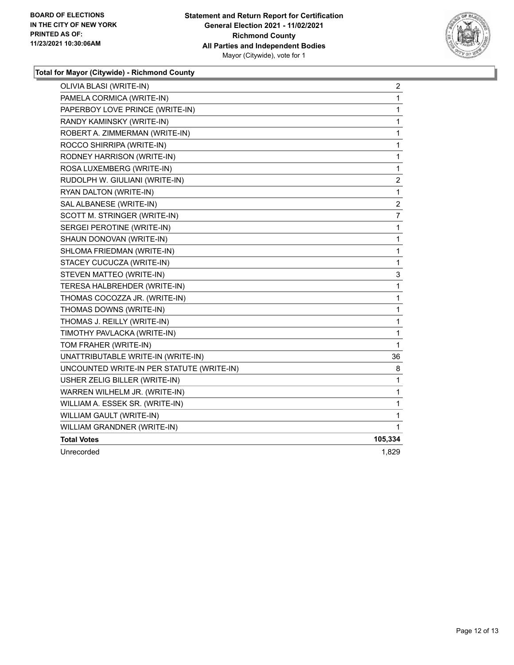

## **Total for Mayor (Citywide) - Richmond County**

| OLIVIA BLASI (WRITE-IN)                   | 2       |
|-------------------------------------------|---------|
| PAMELA CORMICA (WRITE-IN)                 | 1       |
| PAPERBOY LOVE PRINCE (WRITE-IN)           | 1       |
| RANDY KAMINSKY (WRITE-IN)                 | 1       |
| ROBERT A. ZIMMERMAN (WRITE-IN)            | 1       |
| ROCCO SHIRRIPA (WRITE-IN)                 | 1       |
| RODNEY HARRISON (WRITE-IN)                | 1       |
| ROSA LUXEMBERG (WRITE-IN)                 | 1       |
| RUDOLPH W. GIULIANI (WRITE-IN)            | 2       |
| RYAN DALTON (WRITE-IN)                    | 1       |
| SAL ALBANESE (WRITE-IN)                   | 2       |
| SCOTT M. STRINGER (WRITE-IN)              | 7       |
| SERGEI PEROTINE (WRITE-IN)                | 1       |
| SHAUN DONOVAN (WRITE-IN)                  | 1       |
| SHLOMA FRIEDMAN (WRITE-IN)                | 1       |
| STACEY CUCUCZA (WRITE-IN)                 | 1       |
| STEVEN MATTEO (WRITE-IN)                  | 3       |
| TERESA HALBREHDER (WRITE-IN)              | 1       |
| THOMAS COCOZZA JR. (WRITE-IN)             | 1       |
| THOMAS DOWNS (WRITE-IN)                   | 1       |
| THOMAS J. REILLY (WRITE-IN)               | 1       |
| TIMOTHY PAVLACKA (WRITE-IN)               | 1       |
| TOM FRAHER (WRITE-IN)                     | 1       |
| UNATTRIBUTABLE WRITE-IN (WRITE-IN)        | 36      |
| UNCOUNTED WRITE-IN PER STATUTE (WRITE-IN) | 8       |
| USHER ZELIG BILLER (WRITE-IN)             | 1       |
| WARREN WILHELM JR. (WRITE-IN)             | 1       |
| WILLIAM A. ESSEK SR. (WRITE-IN)           | 1       |
| WILLIAM GAULT (WRITE-IN)                  | 1       |
| WILLIAM GRANDNER (WRITE-IN)               | 1       |
| <b>Total Votes</b>                        | 105,334 |
| Unrecorded                                | 1,829   |